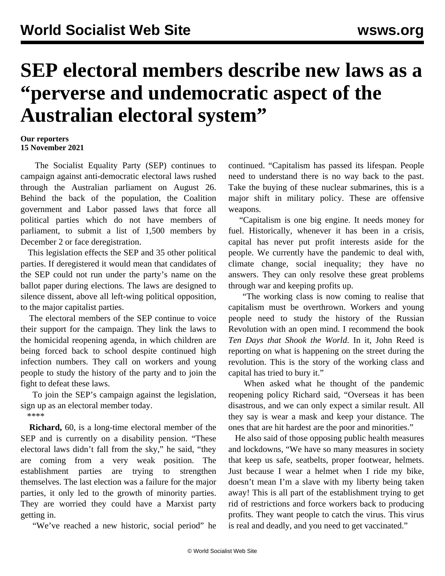## **SEP electoral members describe new laws as a "perverse and undemocratic aspect of the Australian electoral system"**

## **Our reporters 15 November 2021**

 The Socialist Equality Party (SEP) continues to campaign against anti-democratic electoral laws rushed through the Australian parliament on August 26. Behind the back of the population, the Coalition government and Labor passed laws that force all political parties which do not have members of parliament, to submit a list of 1,500 members by December 2 or face deregistration.

 This legislation effects the SEP and 35 other political parties. If deregistered it would mean that candidates of the SEP could not run under the party's name on the ballot paper during elections. The laws are designed to silence dissent, above all left-wing political opposition, to the major capitalist parties.

 The electoral members of the SEP continue to voice their support for the campaign. They link the laws to the homicidal reopening agenda, in which children are being forced back to school despite continued high infection numbers. They call on workers and young people to study the history of the party and to join the fight to defeat these laws.

 To join the SEP's campaign against the legislation, sign up as an [electoral](/en/special/pages/sep/australia/home.html) member today.

\*\*\*\*

 **Richard,** 60, is a long-time electoral member of the SEP and is currently on a disability pension. "These electoral laws didn't fall from the sky," he said, "they are coming from a very weak position. The establishment parties are trying to strengthen themselves. The last election was a failure for the major parties, it only led to the growth of minority parties. They are worried they could have a Marxist party getting in.

"We've reached a new historic, social period" he

continued. "Capitalism has passed its lifespan. People need to understand there is no way back to the past. Take the buying of these nuclear submarines, this is a major shift in military policy. These are offensive weapons.

 "Capitalism is one big engine. It needs money for fuel. Historically, whenever it has been in a crisis, capital has never put profit interests aside for the people. We currently have the pandemic to deal with, climate change, social inequality; they have no answers. They can only resolve these great problems through war and keeping profits up.

 "The working class is now coming to realise that capitalism must be overthrown. Workers and young people need to study the history of the Russian Revolution with an open mind. I recommend the book *Ten Days that Shook the World*. In it, John Reed is reporting on what is happening on the street during the revolution. This is the story of the working class and capital has tried to bury it."

 When asked what he thought of the pandemic reopening policy Richard said, "Overseas it has been disastrous, and we can only expect a similar result. All they say is wear a mask and keep your distance. The ones that are hit hardest are the poor and minorities."

 He also said of those opposing public health measures and lockdowns, "We have so many measures in society that keep us safe, seatbelts, proper footwear, helmets. Just because I wear a helmet when I ride my bike, doesn't mean I'm a slave with my liberty being taken away! This is all part of the establishment trying to get rid of restrictions and force workers back to producing profits. They want people to catch the virus. This virus is real and deadly, and you need to get vaccinated."